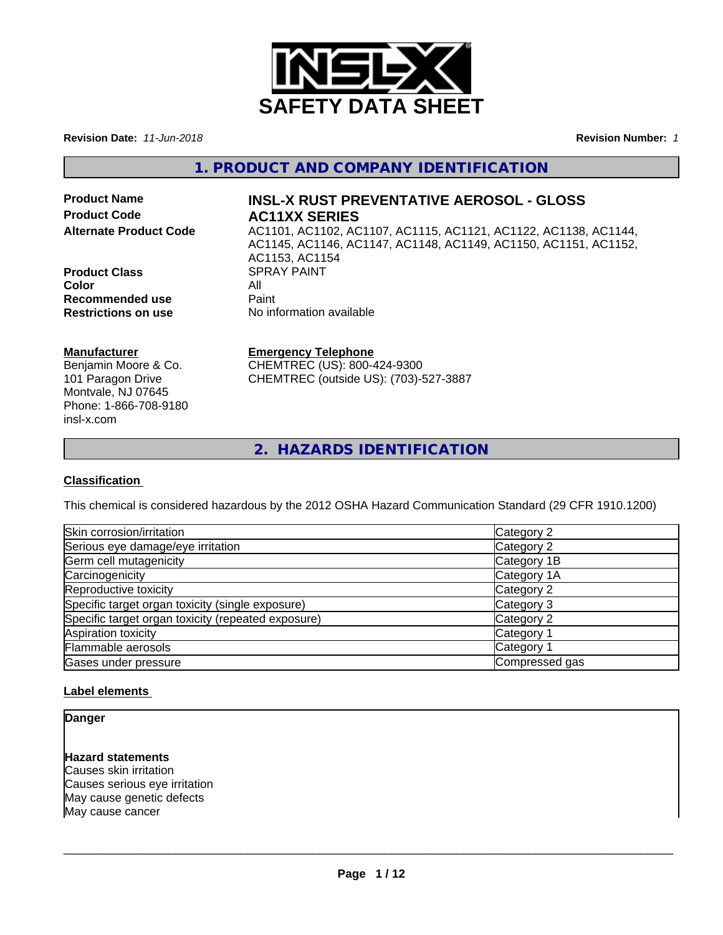

**Revision Date:** *11-Jun-2018* **Revision Number:** *1*

### **1. PRODUCT AND COMPANY IDENTIFICATION**

**Product Name INSL-X RUST PREVENTATIVE AEROSOL - GLOSS Product Code AC11XX SERIES**

**Product Class** SPRAY PAINT<br> **Color Color** All **Recommended use** Paint<br> **Restrictions on use** No inf

# **Alternate Product Code** AC1101, AC1102, AC1107, AC1115, AC1121, AC1122, AC1138, AC1144,

AC1145, AC1146, AC1147, AC1148, AC1149, AC1150, AC1151, AC1152, AC1153, AC1154 **No information available** 

#### **Manufacturer**

Benjamin Moore & Co. 101 Paragon Drive Montvale, NJ 07645 Phone: 1-866-708-9180 insl-x.com

#### **Emergency Telephone**

CHEMTREC (US): 800-424-9300 CHEMTREC (outside US): (703)-527-3887

**2. HAZARDS IDENTIFICATION**

#### **Classification**

This chemical is considered hazardous by the 2012 OSHA Hazard Communication Standard (29 CFR 1910.1200)

| Skin corrosion/irritation                          | Category 2            |
|----------------------------------------------------|-----------------------|
| Serious eye damage/eye irritation                  | Category 2            |
| Germ cell mutagenicity                             | Category 1B           |
| Carcinogenicity                                    | Category 1A           |
| Reproductive toxicity                              | Category 2            |
| Specific target organ toxicity (single exposure)   | Category 3            |
| Specific target organ toxicity (repeated exposure) | Category 2            |
| Aspiration toxicity                                | Category <sup>-</sup> |
| Flammable aerosols                                 | Category <sup>2</sup> |
| Gases under pressure                               | Compressed gas        |

#### **Label elements**

**Danger**

#### **Hazard statements**

Causes skin irritation Causes serious eye irritation May cause genetic defects May cause cancer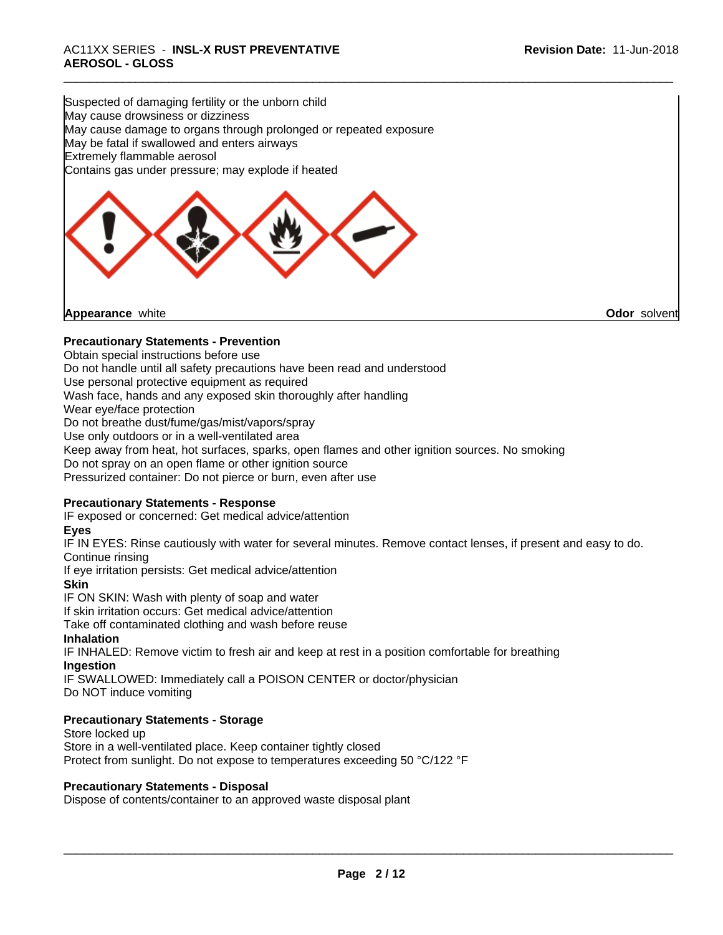## \_\_\_\_\_\_\_\_\_\_\_\_\_\_\_\_\_\_\_\_\_\_\_\_\_\_\_\_\_\_\_\_\_\_\_\_\_\_\_\_\_\_\_\_\_\_\_\_\_\_\_\_\_\_\_\_\_\_\_\_\_\_\_\_\_\_\_\_\_\_\_\_\_\_\_\_\_\_\_\_\_\_\_\_\_\_\_\_\_\_\_\_\_ AC11XX SERIES - **INSL-X RUST PREVENTATIVE AEROSOL - GLOSS**

Suspected of damaging fertility or the unborn child May cause drowsiness or dizziness May cause damage to organs through prolonged or repeated exposure May be fatal if swallowed and enters airways Extremely flammable aerosol Contains gas under pressure; may explode if heated



**Appearance** white **Odor** solvent

#### **Precautionary Statements - Prevention**

Obtain special instructions before use Do not handle until all safety precautions have been read and understood Use personal protective equipment as required Wash face, hands and any exposed skin thoroughly after handling Wear eye/face protection Do not breathe dust/fume/gas/mist/vapors/spray Use only outdoors or in a well-ventilated area Keep away from heat, hot surfaces, sparks, open flames and other ignition sources. No smoking Do not spray on an open flame or other ignition source Pressurized container: Do not pierce or burn, even after use

#### **Precautionary Statements - Response**

IF exposed or concerned: Get medical advice/attention

### **Eyes**

IF IN EYES: Rinse cautiously with water for several minutes. Remove contact lenses, if present and easy to do. Continue rinsing

If eye irritation persists: Get medical advice/attention

**Skin**

IF ON SKIN: Wash with plenty of soap and water

If skin irritation occurs: Get medical advice/attention

Take off contaminated clothing and wash before reuse

#### **Inhalation**

IF INHALED: Remove victim to fresh air and keep at rest in a position comfortable for breathing **Ingestion**

IF SWALLOWED: Immediately call a POISON CENTER or doctor/physician Do NOT induce vomiting

#### **Precautionary Statements - Storage**

Store locked up Store in a well-ventilated place. Keep container tightly closed Protect from sunlight. Do not expose to temperatures exceeding 50 °C/122 °F

#### **Precautionary Statements - Disposal**

Dispose of contents/container to an approved waste disposal plant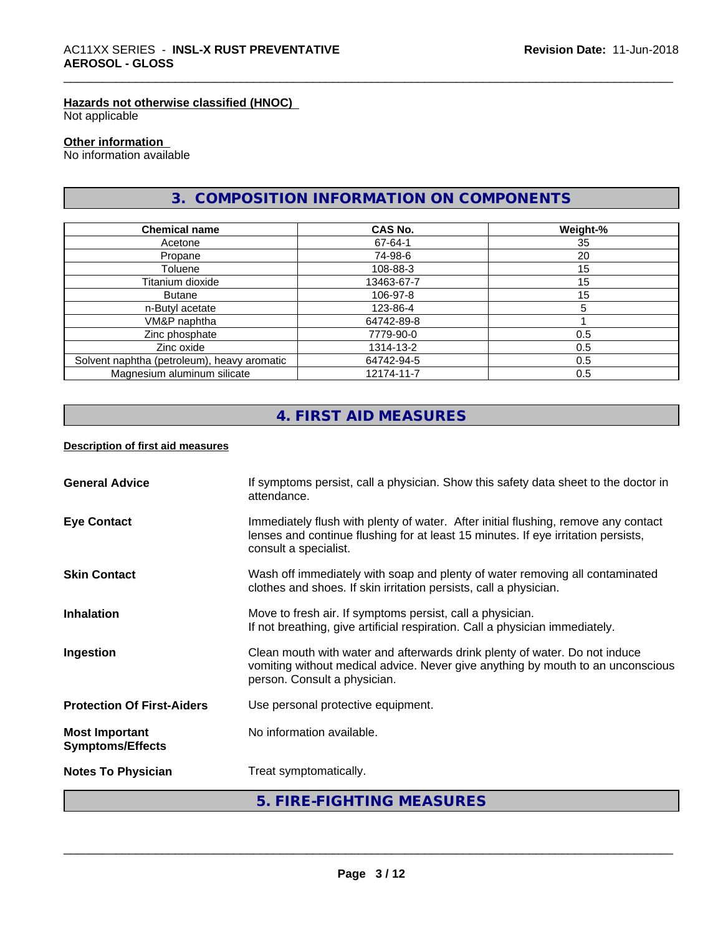#### **Hazards not otherwise classified (HNOC)**

Not applicable

#### **Other information**

No information available

### **3. COMPOSITION INFORMATION ON COMPONENTS**

| <b>Chemical name</b>                        | CAS No.    | Weight-% |
|---------------------------------------------|------------|----------|
| Acetone                                     | 67-64-1    | 35       |
| Propane                                     | 74-98-6    | 20       |
| Toluene                                     | 108-88-3   | 15       |
| Titanium dioxide                            | 13463-67-7 | 15       |
| Butane                                      | 106-97-8   | 15       |
| n-Butyl acetate                             | 123-86-4   |          |
| VM&P naphtha                                | 64742-89-8 |          |
| Zinc phosphate                              | 7779-90-0  | 0.5      |
| Zinc oxide                                  | 1314-13-2  | 0.5      |
| Solvent naphtha (petroleum), heavy aromatic | 64742-94-5 | 0.5      |
| Magnesium aluminum silicate                 | 12174-11-7 | 0.5      |

### **4. FIRST AID MEASURES**

#### **Description of first aid measures**

| <b>General Advice</b>                            | If symptoms persist, call a physician. Show this safety data sheet to the doctor in<br>attendance.                                                                                               |
|--------------------------------------------------|--------------------------------------------------------------------------------------------------------------------------------------------------------------------------------------------------|
| <b>Eye Contact</b>                               | Immediately flush with plenty of water. After initial flushing, remove any contact<br>lenses and continue flushing for at least 15 minutes. If eye irritation persists,<br>consult a specialist. |
| <b>Skin Contact</b>                              | Wash off immediately with soap and plenty of water removing all contaminated<br>clothes and shoes. If skin irritation persists, call a physician.                                                |
| <b>Inhalation</b>                                | Move to fresh air. If symptoms persist, call a physician.<br>If not breathing, give artificial respiration. Call a physician immediately.                                                        |
| Ingestion                                        | Clean mouth with water and afterwards drink plenty of water. Do not induce<br>vomiting without medical advice. Never give anything by mouth to an unconscious<br>person. Consult a physician.    |
| <b>Protection Of First-Aiders</b>                | Use personal protective equipment.                                                                                                                                                               |
| <b>Most Important</b><br><b>Symptoms/Effects</b> | No information available.                                                                                                                                                                        |
| <b>Notes To Physician</b>                        | Treat symptomatically.                                                                                                                                                                           |
|                                                  | 5. FIRE-FIGHTING MEASURES                                                                                                                                                                        |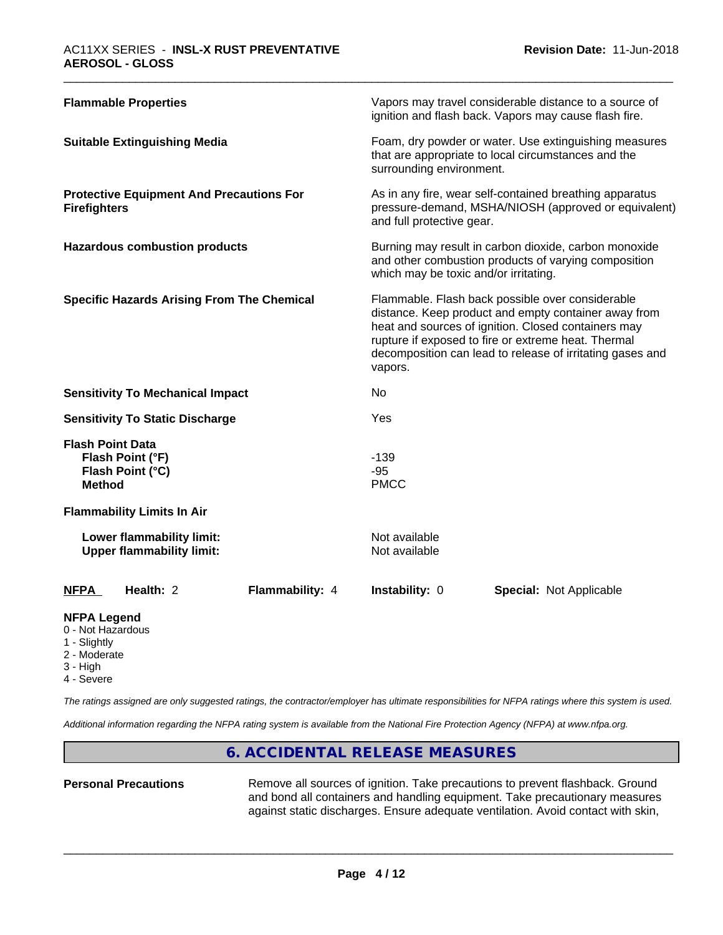| <b>Flammable Properties</b>                                                      | Vapors may travel considerable distance to a source of<br>ignition and flash back. Vapors may cause flash fire.                                                                                                                                                                                |
|----------------------------------------------------------------------------------|------------------------------------------------------------------------------------------------------------------------------------------------------------------------------------------------------------------------------------------------------------------------------------------------|
| <b>Suitable Extinguishing Media</b>                                              | Foam, dry powder or water. Use extinguishing measures<br>that are appropriate to local circumstances and the<br>surrounding environment.                                                                                                                                                       |
| <b>Protective Equipment And Precautions For</b><br><b>Firefighters</b>           | As in any fire, wear self-contained breathing apparatus<br>pressure-demand, MSHA/NIOSH (approved or equivalent)<br>and full protective gear.                                                                                                                                                   |
| <b>Hazardous combustion products</b>                                             | Burning may result in carbon dioxide, carbon monoxide<br>and other combustion products of varying composition<br>which may be toxic and/or irritating.                                                                                                                                         |
| <b>Specific Hazards Arising From The Chemical</b>                                | Flammable. Flash back possible over considerable<br>distance. Keep product and empty container away from<br>heat and sources of ignition. Closed containers may<br>rupture if exposed to fire or extreme heat. Thermal<br>decomposition can lead to release of irritating gases and<br>vapors. |
| <b>Sensitivity To Mechanical Impact</b>                                          | No                                                                                                                                                                                                                                                                                             |
| <b>Sensitivity To Static Discharge</b>                                           | Yes                                                                                                                                                                                                                                                                                            |
| <b>Flash Point Data</b><br>Flash Point (°F)<br>Flash Point (°C)<br><b>Method</b> | $-139$<br>$-95$<br><b>PMCC</b>                                                                                                                                                                                                                                                                 |
| <b>Flammability Limits In Air</b>                                                |                                                                                                                                                                                                                                                                                                |
| Lower flammability limit:<br><b>Upper flammability limit:</b>                    | Not available<br>Not available                                                                                                                                                                                                                                                                 |
| Health: 2<br><b>Flammability: 4</b><br><b>NFPA</b>                               | Instability: 0<br><b>Special: Not Applicable</b>                                                                                                                                                                                                                                               |

### **NFPA Legend**

- 0 Not Hazardous
- 1 Slightly
- 2 Moderate
- 3 High
- 4 Severe

*The ratings assigned are only suggested ratings, the contractor/employer has ultimate responsibilities for NFPA ratings where this system is used.*

*Additional information regarding the NFPA rating system is available from the National Fire Protection Agency (NFPA) at www.nfpa.org.*

### **6. ACCIDENTAL RELEASE MEASURES**

Personal Precautions **Remove all sources of ignition.** Take precautions to prevent flashback. Ground and bond all containers and handling equipment. Take precautionary measures against static discharges. Ensure adequate ventilation. Avoid contact with skin,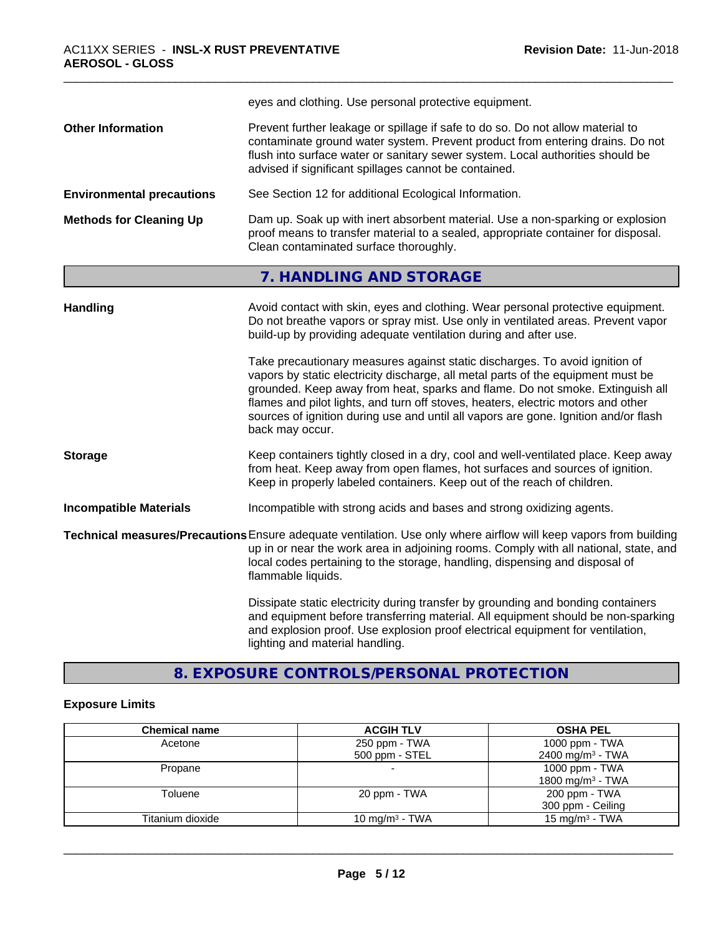|                                  | eyes and clothing. Use personal protective equipment.                                                                                                                                                                                                                                                                                                                                                                                                                                                                                                                                                                                                                                     |
|----------------------------------|-------------------------------------------------------------------------------------------------------------------------------------------------------------------------------------------------------------------------------------------------------------------------------------------------------------------------------------------------------------------------------------------------------------------------------------------------------------------------------------------------------------------------------------------------------------------------------------------------------------------------------------------------------------------------------------------|
| <b>Other Information</b>         | Prevent further leakage or spillage if safe to do so. Do not allow material to<br>contaminate ground water system. Prevent product from entering drains. Do not<br>flush into surface water or sanitary sewer system. Local authorities should be<br>advised if significant spillages cannot be contained.                                                                                                                                                                                                                                                                                                                                                                                |
| <b>Environmental precautions</b> | See Section 12 for additional Ecological Information.                                                                                                                                                                                                                                                                                                                                                                                                                                                                                                                                                                                                                                     |
| <b>Methods for Cleaning Up</b>   | Dam up. Soak up with inert absorbent material. Use a non-sparking or explosion<br>proof means to transfer material to a sealed, appropriate container for disposal.<br>Clean contaminated surface thoroughly.                                                                                                                                                                                                                                                                                                                                                                                                                                                                             |
|                                  | 7. HANDLING AND STORAGE                                                                                                                                                                                                                                                                                                                                                                                                                                                                                                                                                                                                                                                                   |
| <b>Handling</b>                  | Avoid contact with skin, eyes and clothing. Wear personal protective equipment.<br>Do not breathe vapors or spray mist. Use only in ventilated areas. Prevent vapor<br>build-up by providing adequate ventilation during and after use.<br>Take precautionary measures against static discharges. To avoid ignition of<br>vapors by static electricity discharge, all metal parts of the equipment must be<br>grounded. Keep away from heat, sparks and flame. Do not smoke. Extinguish all<br>flames and pilot lights, and turn off stoves, heaters, electric motors and other<br>sources of ignition during use and until all vapors are gone. Ignition and/or flash<br>back may occur. |
| <b>Storage</b>                   | Keep containers tightly closed in a dry, cool and well-ventilated place. Keep away<br>from heat. Keep away from open flames, hot surfaces and sources of ignition.<br>Keep in properly labeled containers. Keep out of the reach of children.                                                                                                                                                                                                                                                                                                                                                                                                                                             |
| <b>Incompatible Materials</b>    | Incompatible with strong acids and bases and strong oxidizing agents.                                                                                                                                                                                                                                                                                                                                                                                                                                                                                                                                                                                                                     |
|                                  | Technical measures/Precautions Ensure adequate ventilation. Use only where airflow will keep vapors from building<br>up in or near the work area in adjoining rooms. Comply with all national, state, and<br>local codes pertaining to the storage, handling, dispensing and disposal of<br>flammable liquids.                                                                                                                                                                                                                                                                                                                                                                            |
|                                  | Dissipate static electricity during transfer by grounding and bonding containers<br>and equipment before transferring material. All equipment should be non-sparking<br>and explosion proof. Use explosion proof electrical equipment for ventilation,<br>lighting and material handling.                                                                                                                                                                                                                                                                                                                                                                                                 |

### **8. EXPOSURE CONTROLS/PERSONAL PROTECTION**

### **Exposure Limits**

| <b>Chemical name</b> | <b>ACGIH TLV</b>           | <b>OSHA PEL</b>              |
|----------------------|----------------------------|------------------------------|
| Acetone              | 250 ppm - TWA              | 1000 ppm - $TWA$             |
|                      | 500 ppm - STEL             | 2400 mg/m <sup>3</sup> - TWA |
| Propane              |                            | 1000 ppm - TWA               |
|                      |                            | 1800 mg/m <sup>3</sup> - TWA |
| Toluene              | 20 ppm - TWA               | 200 ppm - TWA                |
|                      |                            | 300 ppm - Ceiling            |
| Titanium dioxide     | 10 mg/m <sup>3</sup> - TWA | 15 mg/m <sup>3</sup> - TWA   |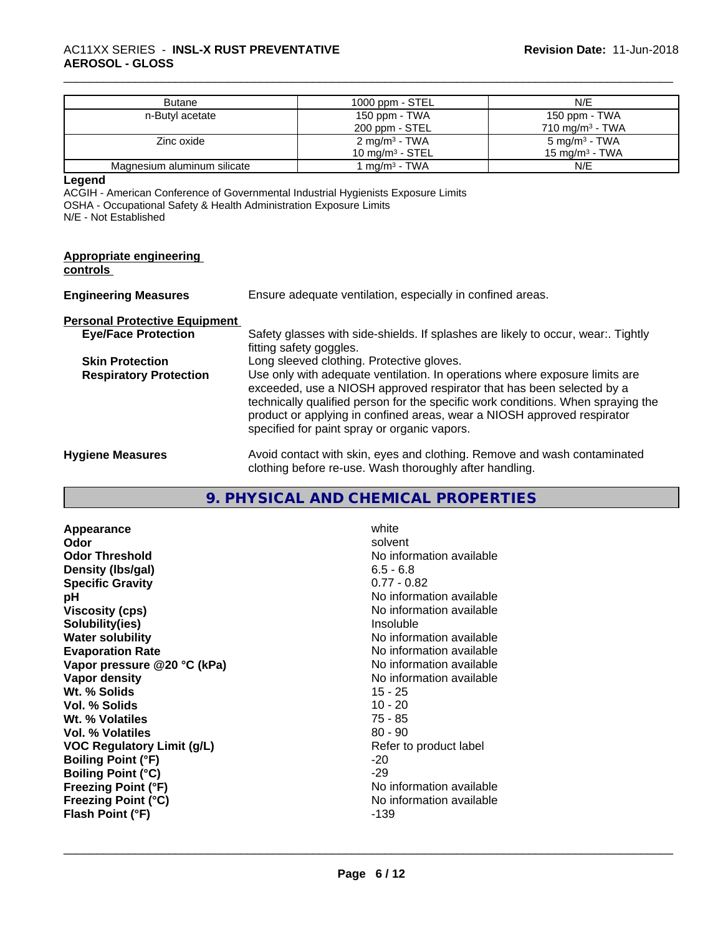| <b>Butane</b>               | 1000 ppm - STEL            | N/E                        |
|-----------------------------|----------------------------|----------------------------|
| n-Butyl acetate             | 150 ppm - TWA              | 150 ppm - TWA              |
|                             | 200 ppm - STEL             | $710 \text{ mg/m}^3$ - TWA |
| Zinc oxide                  | 2 mg/m <sup>3</sup> - TWA  | 5 mg/m <sup>3</sup> - TWA  |
|                             | $10 \text{ mg/m}^3$ - STEL | 15 mg/m $3$ - TWA          |
| Magnesium aluminum silicate | 1 ma/m <sup>3</sup> - TWA  | N/E                        |

**Legend**

ACGIH - American Conference of Governmental Industrial Hygienists Exposure Limits OSHA - Occupational Safety & Health Administration Exposure Limits N/E - Not Established

| <b>Appropriate engineering</b><br>controls |                                                                                                                                                                                                                                                                                                                                                                     |
|--------------------------------------------|---------------------------------------------------------------------------------------------------------------------------------------------------------------------------------------------------------------------------------------------------------------------------------------------------------------------------------------------------------------------|
| <b>Engineering Measures</b>                | Ensure adequate ventilation, especially in confined areas.                                                                                                                                                                                                                                                                                                          |
| <b>Personal Protective Equipment</b>       |                                                                                                                                                                                                                                                                                                                                                                     |
| <b>Eye/Face Protection</b>                 | Safety glasses with side-shields. If splashes are likely to occur, wear:. Tightly<br>fitting safety goggles.                                                                                                                                                                                                                                                        |
| <b>Skin Protection</b>                     | Long sleeved clothing. Protective gloves.                                                                                                                                                                                                                                                                                                                           |
| <b>Respiratory Protection</b>              | Use only with adequate ventilation. In operations where exposure limits are<br>exceeded, use a NIOSH approved respirator that has been selected by a<br>technically qualified person for the specific work conditions. When spraying the<br>product or applying in confined areas, wear a NIOSH approved respirator<br>specified for paint spray or organic vapors. |
| <b>Hygiene Measures</b>                    | Avoid contact with skin, eyes and clothing. Remove and wash contaminated<br>clothing before re-use. Wash thoroughly after handling.                                                                                                                                                                                                                                 |

### **9. PHYSICAL AND CHEMICAL PROPERTIES**

| Appearance                  | white                    |
|-----------------------------|--------------------------|
| Odor                        | solvent                  |
| <b>Odor Threshold</b>       | No information available |
| Density (Ibs/gal)           | $6.5 - 6.8$              |
| <b>Specific Gravity</b>     | $0.77 - 0.82$            |
| рH                          | No information available |
| <b>Viscosity (cps)</b>      | No information available |
| Solubility(ies)             | Insoluble                |
| <b>Water solubility</b>     | No information available |
| <b>Evaporation Rate</b>     | No information available |
| Vapor pressure @20 °C (kPa) | No information available |
| <b>Vapor density</b>        | No information available |
| Wt. % Solids                | 15 - 25                  |
| Vol. % Solids               | $10 - 20$                |
| Wt. % Volatiles             | $75 - 85$                |
| <b>Vol. % Volatiles</b>     | $80 - 90$                |
| VOC Regulatory Limit (g/L)  | Refer to product label   |
| <b>Boiling Point (°F)</b>   | -20                      |
| <b>Boiling Point (°C)</b>   | -29                      |
| <b>Freezing Point (°F)</b>  | No information available |
| <b>Freezing Point (°C)</b>  | No information available |
| Flash Point (°F)            | -139                     |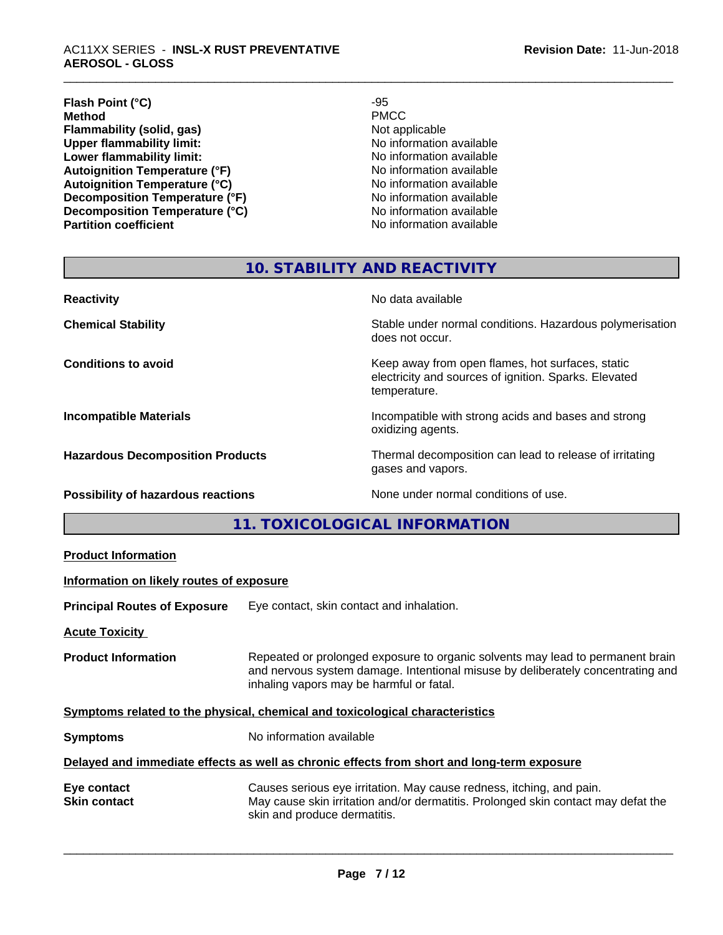#### \_\_\_\_\_\_\_\_\_\_\_\_\_\_\_\_\_\_\_\_\_\_\_\_\_\_\_\_\_\_\_\_\_\_\_\_\_\_\_\_\_\_\_\_\_\_\_\_\_\_\_\_\_\_\_\_\_\_\_\_\_\_\_\_\_\_\_\_\_\_\_\_\_\_\_\_\_\_\_\_\_\_\_\_\_\_\_\_\_\_\_\_\_ AC11XX SERIES - **INSL-X RUST PREVENTATIVE AEROSOL - GLOSS**

#### **Flash Point (°C)**  $-95$ <br> **Method** PMCC **Method** PMCC **Flammability (solid, gas)**<br> **Commability limit:**<br>
Upper flammability limit:<br>
Wo information available **Upper flammability limit:**<br> **Lower flammability limit:**<br> **Lower flammability limit:**<br>
No information available **Lower flammability limit:**<br> **Autoignition Temperature (°F)**<br>
Mo information available<br>
No information available Autoignition Temperature (°F)<br>
Autoignition Temperature (°C)<br>
No information available **Autoignition Temperature (°C)**<br> **Decomposition Temperature (°F)** No information available **Decomposition Temperature (°F)**<br> **Decomposition Temperature (°C)**<br>
No information available **Decomposition Temperature (°C) Partition coefficient Contract Contract Contract Contract Contract Contract Contract Contract Contract Contract Contract Contract Contract Contract Contract Contract Contract Contract Contract Contract Contract Contract**

### **10. STABILITY AND REACTIVITY**

| <b>Reactivity</b>                         | No data available                                                                                                         |
|-------------------------------------------|---------------------------------------------------------------------------------------------------------------------------|
| <b>Chemical Stability</b>                 | Stable under normal conditions. Hazardous polymerisation<br>does not occur.                                               |
| <b>Conditions to avoid</b>                | Keep away from open flames, hot surfaces, static<br>electricity and sources of ignition. Sparks. Elevated<br>temperature. |
| <b>Incompatible Materials</b>             | Incompatible with strong acids and bases and strong<br>oxidizing agents.                                                  |
| <b>Hazardous Decomposition Products</b>   | Thermal decomposition can lead to release of irritating<br>gases and vapors.                                              |
| <b>Possibility of hazardous reactions</b> | None under normal conditions of use.                                                                                      |

**11. TOXICOLOGICAL INFORMATION**

| <b>Product Information</b>                                                                 |                                                                                                                                                                                                               |  |
|--------------------------------------------------------------------------------------------|---------------------------------------------------------------------------------------------------------------------------------------------------------------------------------------------------------------|--|
| Information on likely routes of exposure                                                   |                                                                                                                                                                                                               |  |
| <b>Principal Routes of Exposure</b>                                                        | Eye contact, skin contact and inhalation.                                                                                                                                                                     |  |
| <b>Acute Toxicity</b>                                                                      |                                                                                                                                                                                                               |  |
| <b>Product Information</b>                                                                 | Repeated or prolonged exposure to organic solvents may lead to permanent brain<br>and nervous system damage. Intentional misuse by deliberately concentrating and<br>inhaling vapors may be harmful or fatal. |  |
| Symptoms related to the physical, chemical and toxicological characteristics               |                                                                                                                                                                                                               |  |
| <b>Symptoms</b>                                                                            | No information available                                                                                                                                                                                      |  |
| Delayed and immediate effects as well as chronic effects from short and long-term exposure |                                                                                                                                                                                                               |  |
| Eye contact<br><b>Skin contact</b>                                                         | Causes serious eye irritation. May cause redness, itching, and pain.<br>May cause skin irritation and/or dermatitis. Prolonged skin contact may defat the<br>skin and produce dermatitis.                     |  |
|                                                                                            |                                                                                                                                                                                                               |  |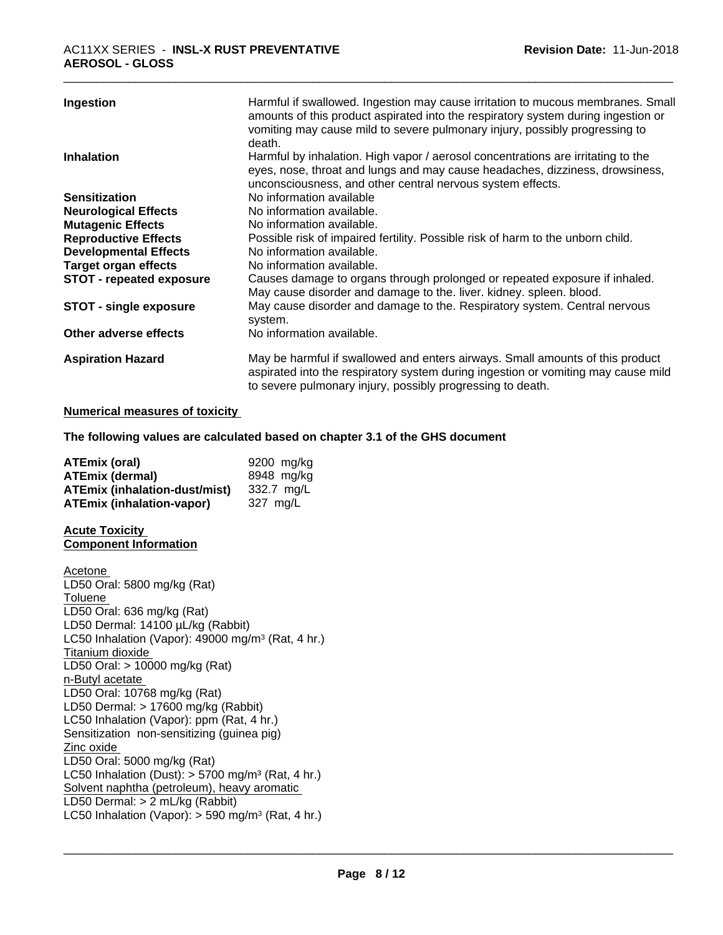| Ingestion                       | Harmful if swallowed. Ingestion may cause irritation to mucous membranes. Small<br>amounts of this product aspirated into the respiratory system during ingestion or<br>vomiting may cause mild to severe pulmonary injury, possibly progressing to<br>death. |
|---------------------------------|---------------------------------------------------------------------------------------------------------------------------------------------------------------------------------------------------------------------------------------------------------------|
| <b>Inhalation</b>               | Harmful by inhalation. High vapor / aerosol concentrations are irritating to the<br>eyes, nose, throat and lungs and may cause headaches, dizziness, drowsiness,<br>unconsciousness, and other central nervous system effects.                                |
| <b>Sensitization</b>            | No information available                                                                                                                                                                                                                                      |
| <b>Neurological Effects</b>     | No information available.                                                                                                                                                                                                                                     |
| <b>Mutagenic Effects</b>        | No information available.                                                                                                                                                                                                                                     |
| <b>Reproductive Effects</b>     | Possible risk of impaired fertility. Possible risk of harm to the unborn child.                                                                                                                                                                               |
| <b>Developmental Effects</b>    | No information available.                                                                                                                                                                                                                                     |
| <b>Target organ effects</b>     | No information available.                                                                                                                                                                                                                                     |
| <b>STOT - repeated exposure</b> | Causes damage to organs through prolonged or repeated exposure if inhaled.<br>May cause disorder and damage to the. liver. kidney. spleen. blood.                                                                                                             |
| <b>STOT - single exposure</b>   | May cause disorder and damage to the. Respiratory system. Central nervous<br>system.                                                                                                                                                                          |
| Other adverse effects           | No information available.                                                                                                                                                                                                                                     |
| <b>Aspiration Hazard</b>        | May be harmful if swallowed and enters airways. Small amounts of this product<br>aspirated into the respiratory system during ingestion or vomiting may cause mild<br>to severe pulmonary injury, possibly progressing to death.                              |

#### **Numerical measures of toxicity**

**The following values are calculated based on chapter 3.1 of the GHS document**

| <b>ATEmix (oral)</b>                 | 9200 mg/kg |
|--------------------------------------|------------|
| <b>ATEmix (dermal)</b>               | 8948 mg/kg |
| <b>ATEmix (inhalation-dust/mist)</b> | 332.7 mg/L |
| <b>ATEmix (inhalation-vapor)</b>     | 327 ma/L   |

#### **Acute Toxicity Component Information**

Acetone LD50 Oral: 5800 mg/kg (Rat) Toluene LD50 Oral: 636 mg/kg (Rat) LD50 Dermal: 14100 µL/kg (Rabbit) LC50 Inhalation (Vapor): 49000 mg/m<sup>3</sup> (Rat, 4 hr.) Titanium dioxide LD50 Oral: > 10000 mg/kg (Rat) n-Butyl acetate LD50 Oral: 10768 mg/kg (Rat) LD50 Dermal: > 17600 mg/kg (Rabbit) LC50 Inhalation (Vapor): ppm (Rat, 4 hr.) Sensitization non-sensitizing (guinea pig) Zinc oxide LD50 Oral: 5000 mg/kg (Rat) LC50 Inhalation (Dust):  $> 5700$  mg/m<sup>3</sup> (Rat, 4 hr.) Solvent naphtha (petroleum), heavy aromatic LD50 Dermal: > 2 mL/kg (Rabbit) LC50 Inhalation (Vapor): > 590 mg/m<sup>3</sup> (Rat, 4 hr.)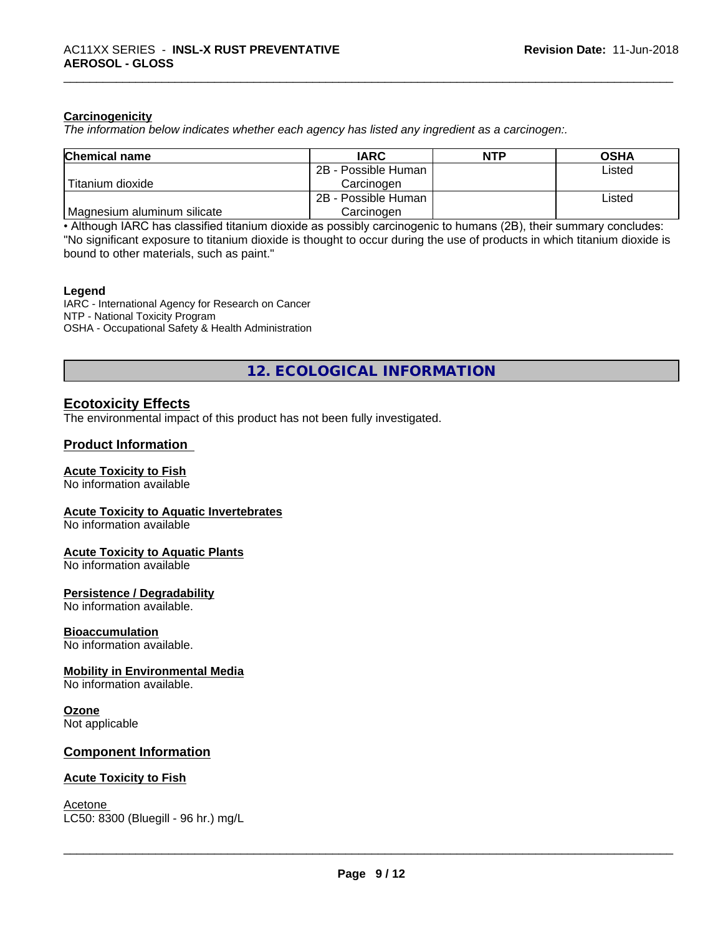#### **Carcinogenicity**

*The information below indicateswhether each agency has listed any ingredient as a carcinogen:.*

| <b>Chemical name</b>        | <b>IARC</b>         | <b>NTP</b> | <b>OSHA</b> |
|-----------------------------|---------------------|------------|-------------|
|                             | 2B - Possible Human |            | Listed      |
| Titanium dioxide            | Carcinoɑen          |            |             |
|                             | 2B - Possible Human |            | Listed      |
| Magnesium aluminum silicate | Carcinogen          |            |             |

• Although IARC has classified titanium dioxide as possibly carcinogenic to humans (2B), their summary concludes: "No significant exposure to titanium dioxide is thought to occur during the use of products in which titanium dioxide is bound to other materials, such as paint."

#### **Legend**

IARC - International Agency for Research on Cancer NTP - National Toxicity Program OSHA - Occupational Safety & Health Administration

**12. ECOLOGICAL INFORMATION**

#### **Ecotoxicity Effects**

The environmental impact of this product has not been fully investigated.

#### **Product Information**

#### **Acute Toxicity to Fish**

No information available

#### **Acute Toxicity to Aquatic Invertebrates**

No information available

#### **Acute Toxicity to Aquatic Plants**

No information available

#### **Persistence / Degradability**

No information available.

#### **Bioaccumulation**

No information available.

#### **Mobility in Environmental Media**

No information available.

#### **Ozone**

Not applicable

#### **Component Information**

#### **Acute Toxicity to Fish**

Acetone \_\_\_\_\_\_\_\_\_\_\_\_\_\_\_\_\_\_\_\_\_\_\_\_\_\_\_\_\_\_\_\_\_\_\_\_\_\_\_\_\_\_\_\_\_\_\_\_\_\_\_\_\_\_\_\_\_\_\_\_\_\_\_\_\_\_\_\_\_\_\_\_\_\_\_\_\_\_\_\_\_\_\_\_\_\_\_\_\_\_\_\_\_ LC50: 8300 (Bluegill - 96 hr.) mg/L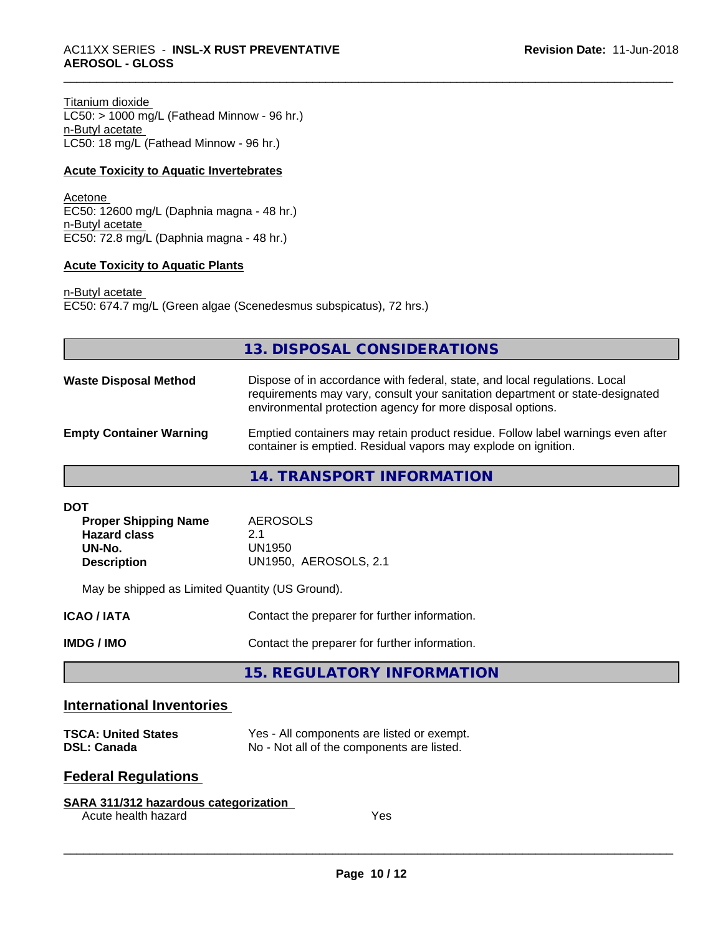Titanium dioxide LC50: > 1000 mg/L (Fathead Minnow - 96 hr.) n-Butyl acetate LC50: 18 mg/L (Fathead Minnow - 96 hr.)

#### **Acute Toxicity to Aquatic Invertebrates**

Acetone EC50: 12600 mg/L (Daphnia magna - 48 hr.) n-Butyl acetate EC50: 72.8 mg/L (Daphnia magna - 48 hr.)

#### **Acute Toxicity to Aquatic Plants**

n-Butyl acetate EC50: 674.7 mg/L (Green algae (Scenedesmus subspicatus), 72 hrs.)

|                                | 13. DISPOSAL CONSIDERATIONS                                                                                                                                                                                               |
|--------------------------------|---------------------------------------------------------------------------------------------------------------------------------------------------------------------------------------------------------------------------|
| <b>Waste Disposal Method</b>   | Dispose of in accordance with federal, state, and local regulations. Local<br>requirements may vary, consult your sanitation department or state-designated<br>environmental protection agency for more disposal options. |
| <b>Empty Container Warning</b> | Emptied containers may retain product residue. Follow label warnings even after<br>container is emptied. Residual vapors may explode on ignition.                                                                         |
|                                | 14. TRANSPORT INFORMATION                                                                                                                                                                                                 |

| DOT                         |                              |
|-----------------------------|------------------------------|
| <b>Proper Shipping Name</b> | AEROSOLS                     |
| <b>Hazard class</b>         | 2.1                          |
| UN-No.                      | UN1950                       |
| <b>Description</b>          | <b>UN1950, AEROSOLS, 2.1</b> |
|                             |                              |

May be shipped as Limited Quantity (US Ground).

| ICAO / IATA | Contact the preparer for further information. |
|-------------|-----------------------------------------------|
| IMDG / IMO  | Contact the preparer for further information. |

**15. REGULATORY INFORMATION**

#### **International Inventories**

| <b>TSCA: United States</b> | Yes - All components are listed or exempt. |
|----------------------------|--------------------------------------------|
| <b>DSL: Canada</b>         | No - Not all of the components are listed. |

### **Federal Regulations**

| SARA 311/312 hazardous categorization |     |
|---------------------------------------|-----|
| Acute health hazard                   | Yes |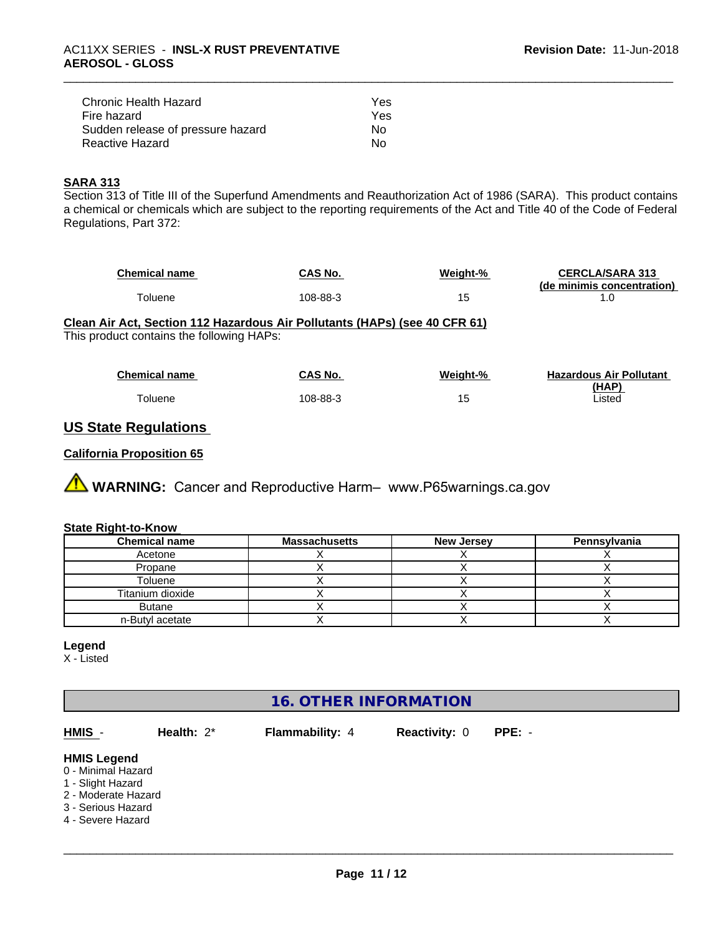| Chronic Health Hazard             | Yes |
|-----------------------------------|-----|
| Fire hazard                       | Yes |
| Sudden release of pressure hazard | Nο  |
| Reactive Hazard                   | N٥  |

#### **SARA 313**

Section 313 of Title III of the Superfund Amendments and Reauthorization Act of 1986 (SARA). This product contains a chemical or chemicals which are subject to the reporting requirements of the Act and Title 40 of the Code of Federal Regulations, Part 372:

| <b>Chemical name</b> | CAS No.  | Weight-% | <b>CERCLA/SARA 313</b>     |
|----------------------|----------|----------|----------------------------|
|                      |          |          | (de minimis concentration) |
| oluene               | 108-88-3 | 15       |                            |

#### **Clean Air Act,Section 112 Hazardous Air Pollutants (HAPs) (see 40 CFR 61)** This product contains the following HAPs:

| Chemical name | CAS No.  | Weight-% | <b>Hazardous Air Pollutant</b> |
|---------------|----------|----------|--------------------------------|
|               |          |          | (HAP)                          |
| Toluene       | 108-88-3 | 15       | Listed                         |

#### **US State Regulations**

#### **California Proposition 65**

**AVIMARNING:** Cancer and Reproductive Harm– www.P65warnings.ca.gov

#### **State Right-to-Know**

| <b>Chemical name</b> | <b>Massachusetts</b> | <b>New Jersey</b> | Pennsylvania |
|----------------------|----------------------|-------------------|--------------|
| Acetone              |                      |                   |              |
| Propane              |                      |                   |              |
| Toluene              |                      |                   |              |
| Titanium dioxide     |                      |                   |              |
| <b>Butane</b>        |                      |                   |              |
| n-Butyl acetate      |                      |                   |              |

#### **Legend**

X - Listed

### **16. OTHER INFORMATION**

| HMIS -                                                                                                                          | Health: $2^*$ | <b>Flammability: 4</b> | <b>Reactivity: 0</b> | $PPE: -$ |  |
|---------------------------------------------------------------------------------------------------------------------------------|---------------|------------------------|----------------------|----------|--|
| <b>HMIS Legend</b><br>0 - Minimal Hazard<br>1 - Slight Hazard<br>2 - Moderate Hazard<br>3 - Serious Hazard<br>4 - Severe Hazard |               |                        |                      |          |  |